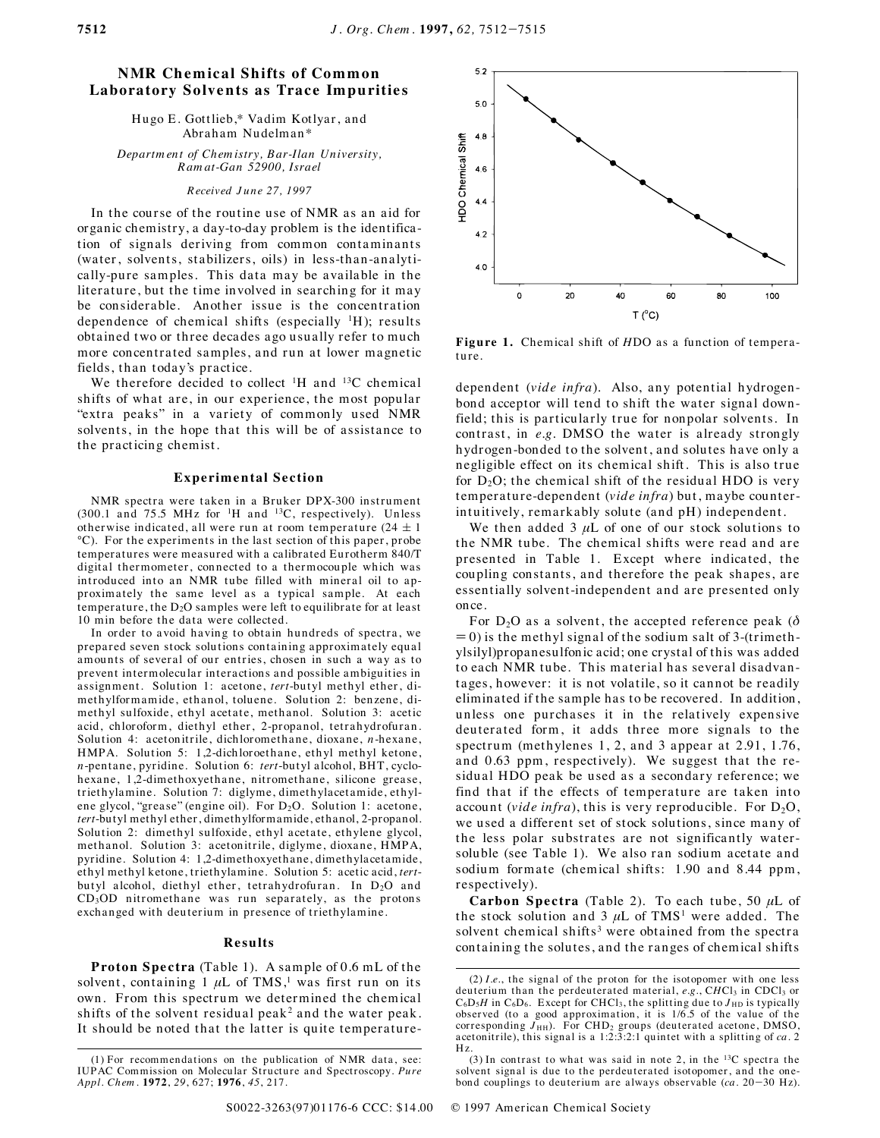# **NMR Chemical Shifts of Common Laboratory Solvents as Trace Impurities**

Hugo E. Gottlieb,\* Vadim Kotlyar, and Abraham Nudelman\*

*Departm ent of Ch em istry, B ar-Ilan University, R am at-Gan 52900, Israel*

## *R eceived J u n e 27, 1997*

In the course of the routine use of NMR as an aid for organic chemistry, a day-to-day problem is the identification of signals deriving from common contaminants (water, solvents, stabilizers, oils) in less-than-analytically-pure samples. This data may be available in the literature, but the time involved in searching for it may be considerable. Another issue is the concentration dependence of chemical shifts (especially  $H$ ); results obtained two or three decades ago usually refer to much more concentrated samples, and run at lower magnetic fields, than today's practice.

We therefore decided to collect  ${}^{1}H$  and  ${}^{13}C$  chemical shifts of what are, in our experience, the most popular "extra peaks" in a variety of commonly used NMR solvents, in the hope that this will be of assistance to the practicing chemist.

### **Experimental Section**

NMR spectra were taken in a Bruker DPX-300 instrument  $(300.1 \text{ and } 75.5 \text{ MHz for } ^{1}H \text{ and } ^{13}C,$  respectively). Unless otherwise indicated, all were run at room temperature  $(24 \pm 1)$  $^{\circ}$ C). For the experiments in the last section of this paper, probe temperatures were measured with a calibrated Eurotherm 840/T digital thermometer, connected to a thermocouple which was introduced into an NMR tube filled with mineral oil to approximately the same level as a typical sample. At each temperature, the  $D_2O$  samples were left to equilibrate for at least 10 min before the data were collected.

In order to avoid having to obtain hundreds of spectra, we prepared seven stock solutions containing approximately equal amounts of several of our entries, chosen in such a way as to prevent intermolecular interactions and possible ambiguities in assignment. Solution 1: acetone, *tert*-butyl methyl ether, dimethylformamide, ethanol, toluene. Solution 2: benzene, dimethyl sulfoxide, ethyl acetate, methanol. Solution 3: acetic acid, chlor oform, diethyl ether, 2-propanol, tetrahydrofuran. Solution 4: acetonitrile, dichloromethane, dioxane, *n*-hexane, HMPA. Solution 5: 1,2-dichloroethane, ethyl methyl ketone, *n*-penta ne, pyridine. Solution 6: *tert*-but yl alcoh ol, BHT, cyclohexane, 1,2-dimethoxyethane, nitromethane, silicone grease, triethylamine. Solution 7: diglyme, dimethylacetamide, ethylene glycol, "grease" (engine oil). For D<sub>2</sub>O. Solution 1: acetone, *tert*-butyl methyl ether, dimethylformamide, ethanol, 2-propanol. Solution 2: dimethyl sulfoxide, ethyl acetate, ethylene glycol, methanol. Solution 3: acetonitrile, diglyme, dioxane, HMPA, pyridine. Solution 4: 1,2-dimethoxyethane, dimethylacetamide, ethyl methyl ketone, triethylamine. Solution 5: acetic acid, tertbutyl alcohol, diethyl ether, tetrahydrofuran. In D<sub>2</sub>O and  $CD<sub>3</sub>OD$  nitromethane was run separately, as the protons exchanged with deuterium in presence of triethylamine.

#### **Results**

**Proton Spectra** (Table 1). A sample of 0.6 mL of the solvent, containing  $1 \mu L$  of TMS,<sup>1</sup> was first run on its own. From this spectrum we determined the chemical shifts of the solvent residual peak<sup>2</sup> and the water peak. It should be noted that the latter is quite temperature-



Figure 1. Chemical shift of *HDO* as a function of temperature.

dependent (vide infra). Also, any potential hydrogenbond acceptor will tend to shift the water signal downfield; this is particularly true for nonpolar solvents. In contrast, in *e.g.* DMSO the water is already strongly hydrogen-bonded to the solvent, and solutes have only a negligible effect on its chemical shift. This is also true for  $D_2O$ ; the chemical shift of the residual HDO is very tem perature-dependent (*vide infra*) but, maybe counterintuitively, remarkably solute (and pH) independent.

We then added  $3 \mu L$  of one of our stock solutions to the NMR tube. The chemical shifts were read and are presented in Table 1. Except where indicated, the coupling constants, and therefore the peak shapes, are essentially solvent-independent and are presented only on ce.

For  $D_2O$  as a solvent, the accepted reference peak ( $\delta$  $= 0$ ) is the methyl signal of the sodium salt of 3-(trimethylsilyl)propanesulfonic acid; one crystal of this was added to each NMR tube. This material has several disadvantages, however: it is not volatile, so it cannot be readily eliminated if the sample has to be recovered. In addition, unless one purchases it in the relatively expensive deuterated form, it adds three more signals to the spect rum (methylenes  $1, 2$ , and  $3$  appear at  $2.91, 1.76$ , and 0.63 ppm, respectively). We suggest that the residual HDO peak be used as a secondary reference; we find that if the effects of temperature are taken into account (*vide infra*), this is very reproducible. For  $D_2O$ , we used a different set of stock solutions, since many of the less polar substrates are not significantly watersoluble (see Table 1). We also ran sodium acetate and sodium formate (chemical shifts: 1.90 and 8.44 ppm, respectively).

**Carbon Spectra** (Table 2). To each tube, 50  $\mu$ L of the stock solution and  $3 \mu L$  of TMS<sup>1</sup> were added. The solvent chemical shifts<sup>3</sup> were obtained from the spectra containing the solutes, and the ranges of chemical shifts

<sup>(1)</sup> For recommendations on the publication of NMR data, see: IUPAC Commission on Molecular Structure and Spectroscopy. Pure *Appl. Ch em .* **1972**, *29*, 627; **1976**, *45*, 217.

 $(2)$  *I.e.*, the signal of the proton for the isotopomer with one less deuterium than the perdeuterated material, *e.g.*, CHCl<sub>3</sub> in CDCl<sub>3</sub> or C<sub>6</sub>D<sub>5</sub>H in C<sub>6</sub>D<sub>6</sub>. Except for CHCl<sub>3</sub>, the splitting due to J<sub>HD</sub> is typically observed (to a good approximation, it is 1/6.5 of the value of the corresponding J<sub>HH</sub>). For CHD<sub>2</sub> groups (deuterated acetone, DMSO,<br>acetonitrile), this signal is a 1:2:3:2:1 quintet with a splitting of *ca*. 2 Hz.

<sup>(3)</sup> In contrast to what was said in note 2, in the  $^{13}C$  spectra the solvent signal is due to the perdeuterated isotopomer, and the onebond couplings to deuterium are always observable  $(ca. 20-30 Hz)$ .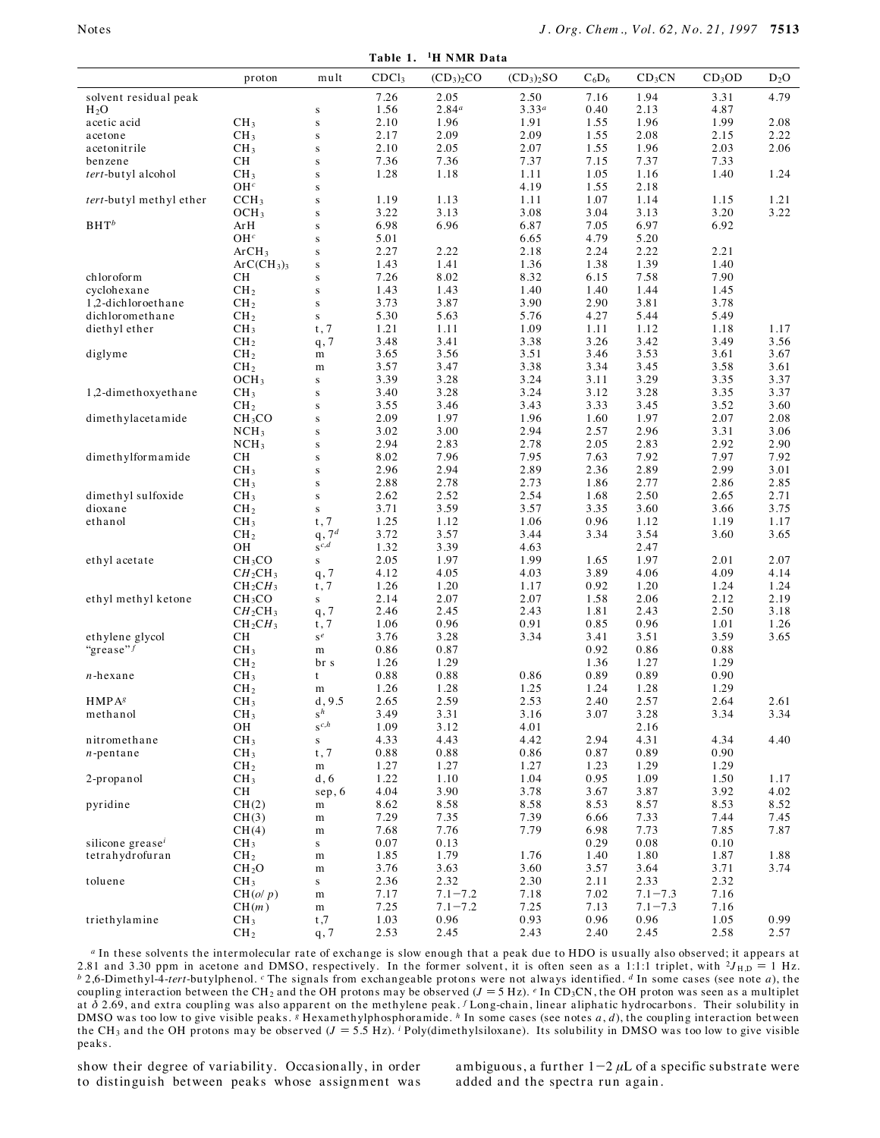Table 1. <sup>1</sup>H NMR Data

|                              | proton                               | mult                               | CDCl <sub>3</sub> | $(CD_3)_2CO$        | $(CD_3)_2SO$ | $C_6D_6$     | CD <sub>3</sub> CN  | $CD_3OD$     | $D_2O$       |
|------------------------------|--------------------------------------|------------------------------------|-------------------|---------------------|--------------|--------------|---------------------|--------------|--------------|
|                              |                                      |                                    |                   |                     |              |              |                     |              |              |
| solvent residual peak        |                                      |                                    | 7.26              | 2.05                | 2.50         | 7.16         | 1.94                | 3.31         | 4.79         |
| $H_2O$                       |                                      | ${\bf S}$                          | 1.56              | $2.84^a$            | $3.33^{a}$   | 0.40         | 2.13                | 4.87         |              |
| acetic acid                  | CH <sub>3</sub>                      | ${\bf S}$                          | 2.10              | 1.96                | 1.91         | 1.55         | 1.96                | 1.99         | $2.08\,$     |
| acetone                      | CH <sub>3</sub>                      | ${\bf S}$                          | 2.17<br>2.10      | 2.09<br>2.05        | 2.09<br>2.07 | 1.55<br>1.55 | 2.08<br>1.96        | 2.15<br>2.03 | 2.22<br>2.06 |
| acetonitrile<br>benzene      | CH <sub>3</sub>                      | ${\bf S}$                          | 7.36              | 7.36                | 7.37         | 7.15         | 7.37                | 7.33         |              |
| tert-butyl alcohol           | CН<br>CH <sub>3</sub>                | ${\bf S}$<br>${\bf S}$             | 1.28              | 1.18                | 1.11         | 1.05         | 1.16                | 1.40         | 1.24         |
|                              | OH <sup>c</sup>                      | ${\bf S}$                          |                   |                     | 4.19         | 1.55         | 2.18                |              |              |
| tert-butyl methyl ether      | CCH <sub>3</sub>                     | ${\bf S}$                          | 1.19              | 1.13                | 1.11         | 1.07         | 1.14                | 1.15         | 1.21         |
|                              | OCH <sub>3</sub>                     | ${\bf S}$                          | 3.22              | 3.13                | 3.08         | 3.04         | 3.13                | 3.20         | 3.22         |
| $BHT^b$                      | ArH                                  | ${\bf S}$                          | 6.98              | 6.96                | 6.87         | 7.05         | 6.97                | 6.92         |              |
|                              | OH <sup>c</sup>                      | ${\bf S}$                          | 5.01              |                     | 6.65         | 4.79         | 5.20                |              |              |
|                              | ArCH <sub>3</sub>                    | ${\bf S}$                          | 2.27              | 2.22                | 2.18         | 2.24         | 2.22                | 2.21         |              |
|                              | $ArC(CH_3)$                          | ${\bf S}$                          | 1.43              | 1.41                | 1.36         | 1.38         | 1.39                | 1.40         |              |
| chloroform                   | CН                                   | ${\bf S}$                          | 7.26              | 8.02                | 8.32         | 6.15         | 7.58                | 7.90         |              |
| cyclohexane                  | CH <sub>2</sub>                      | ${\bf S}$                          | 1.43              | 1.43                | 1.40         | 1.40         | 1.44                | 1.45         |              |
| 1,2-dichloroethane           | CH <sub>2</sub>                      | ${\bf S}$                          | 3.73              | 3.87                | 3.90         | 2.90         | 3.81                | 3.78         |              |
| dichloromethane              | CH <sub>2</sub>                      | $\bf S$                            | 5.30              | 5.63                | 5.76         | 4.27         | 5.44                | 5.49         |              |
| diethyl ether                | CH <sub>3</sub>                      | t, 7                               | 1.21              | 1.11                | 1.09         | 1.11         | 1.12                | 1.18         | 1.17         |
|                              | CH <sub>2</sub>                      | q, 7                               | 3.48              | 3.41                | 3.38         | 3.26         | 3.42                | 3.49         | 3.56         |
| diglyme                      | CH <sub>2</sub>                      | $\, {\rm m}$                       | 3.65              | 3.56                | 3.51         | 3.46         | 3.53                | 3.61         | 3.67         |
|                              | CH <sub>2</sub>                      | m                                  | 3.57              | 3.47                | 3.38         | 3.34         | 3.45                | 3.58         | 3.61         |
|                              | OCH <sub>3</sub>                     | $\mathbf S$                        | 3.39              | 3.28                | 3.24         | 3.11         | 3.29                | 3.35         | 3.37         |
| 1,2-dimethoxyethane          | CH <sub>3</sub>                      | ${\bf S}$                          | 3.40              | 3.28                | 3.24         | 3.12         | 3.28                | 3.35         | 3.37         |
|                              | CH <sub>2</sub>                      | ${\bf S}$                          | 3.55              | 3.46                | 3.43         | 3.33         | 3.45                | 3.52         | 3.60         |
| dimethylacetamide            | CH <sub>3</sub> CO                   | ${\bf S}$                          | 2.09<br>3.02      | 1.97<br>3.00        | 1.96<br>2.94 | 1.60<br>2.57 | 1.97<br>2.96        | 2.07<br>3.31 | 2.08<br>3.06 |
|                              | NCH <sub>3</sub><br>NCH <sub>3</sub> | ${\bf S}$                          | 2.94              | 2.83                | 2.78         | 2.05         | 2.83                | 2.92         | 2.90         |
| dimethylformamide            | CН                                   | ${\bf S}$<br>${\bf S}$             | 8.02              | 7.96                | 7.95         | 7.63         | 7.92                | 7.97         | 7.92         |
|                              | CH <sub>3</sub>                      | ${\bf S}$                          | 2.96              | 2.94                | 2.89         | 2.36         | 2.89                | 2.99         | 3.01         |
|                              | CH <sub>3</sub>                      | ${\bf S}$                          | 2.88              | 2.78                | 2.73         | 1.86         | 2.77                | 2.86         | 2.85         |
| dimethyl sulfoxide           | CH <sub>3</sub>                      | ${\bf S}$                          | 2.62              | 2.52                | 2.54         | 1.68         | 2.50                | 2.65         | 2.71         |
| dioxane                      | CH <sub>2</sub>                      | S                                  | 3.71              | 3.59                | 3.57         | 3.35         | 3.60                | 3.66         | 3.75         |
| ethanol                      | CH <sub>3</sub>                      | t, 7                               | 1.25              | 1.12                | 1.06         | 0.96         | 1.12                | 1.19         | 1.17         |
|                              | CH <sub>2</sub>                      | q, $7^d$                           | 3.72              | 3.57                | 3.44         | 3.34         | 3.54                | 3.60         | 3.65         |
|                              | OН                                   | $\mathbf{s}^{c,d}$                 | 1.32              | 3.39                | 4.63         |              | 2.47                |              |              |
| ethyl acetate                | CH <sub>3</sub> CO                   | $\mathbf s$                        | 2.05              | 1.97                | 1.99         | 1.65         | 1.97                | 2.01         | 2.07         |
|                              | $CH_2CH_3$                           | q, 7                               | 4.12              | 4.05                | 4.03         | 3.89         | 4.06                | 4.09         | 4.14         |
|                              | $CH_2CH_3$                           | $\mathsf{t}$ , $\mathsf{7}$        | 1.26              | 1.20                | 1.17         | 0.92         | 1.20                | 1.24         | 1.24         |
| ethyl methyl ketone          | CH <sub>3</sub> CO                   | ${\bf S}$                          | 2.14              | 2.07                | 2.07         | 1.58         | 2.06                | 2.12         | 2.19         |
|                              | $CH_2CH_3$                           | q, 7                               | 2.46              | 2.45                | 2.43         | 1.81         | 2.43                | 2.50         | 3.18         |
|                              | CH <sub>2</sub> CH <sub>3</sub>      | $\mathsf{t}$ , $\mathsf{7}$        | 1.06              | 0.96                | 0.91         | 0.85         | 0.96                | 1.01         | 1.26         |
| ethylene glycol              | CН                                   | $\mathbf{s}^e$                     | 3.76              | 3.28                | 3.34         | 3.41         | 3.51                | 3.59         | 3.65         |
| "grease" $f$                 | CH <sub>3</sub>                      | m                                  | 0.86              | 0.87                |              | 0.92         | 0.86                | 0.88         |              |
|                              | CH <sub>2</sub>                      | br s                               | 1.26<br>0.88      | 1.29<br>0.88        | 0.86         | 1.36<br>0.89 | 1.27                | 1.29<br>0.90 |              |
| $n$ -hexane                  | CH <sub>3</sub><br>CH <sub>2</sub>   | t<br>m                             | 1.26              | 1.28                | 1.25         | 1.24         | 0.89<br>1.28        | 1.29         |              |
| HMPA <sup>g</sup>            | CH <sub>3</sub>                      | d, 9.5                             | 2.65              | 2.59                | 2.53         | 2.40         | 2.57                | 2.64         | 2.61         |
| methanol                     | CH <sub>3</sub>                      | $s^{\hat{h}}$                      | 3.49              | 3.31                | 3.16         | 3.07         | 3.28                | 3.34         | 3.34         |
|                              | OH                                   | $S^{c,h}$                          | 1.09              | 3.12                | 4.01         |              | 2.16                |              |              |
| nitromethane                 | CH <sub>3</sub>                      | S                                  | 4.33              | 4.43                | 4.42         | 2.94         | 4.31                | 4.34         | 4.40         |
| $n$ -pentane                 | CH <sub>3</sub>                      | t, 7                               | 0.88              | 0.88                | 0.86         | 0.87         | 0.89                | 0.90         |              |
|                              | CH <sub>2</sub>                      | ${\rm m}$                          | 1.27              | 1.27                | 1.27         | 1.23         | 1.29                | 1.29         |              |
| 2-propanol                   | CH <sub>3</sub>                      | d, 6                               | 1.22              | 1.10                | 1.04         | 0.95         | 1.09                | 1.50         | 1.17         |
|                              | <b>CH</b>                            | sep, 6                             | 4.04              | 3.90                | 3.78         | 3.67         | 3.87                | 3.92         | 4.02         |
| pyridine                     | CH(2)                                | m                                  | 8.62              | 8.58                | 8.58         | 8.53         | 8.57                | 8.53         | 8.52         |
|                              | CH(3)                                | $\mathbf m$                        | 7.29              | 7.35                | 7.39         | 6.66         | 7.33                | 7.44         | 7.45         |
|                              | CH(4)                                | m                                  | 7.68              | 7.76                | 7.79         | 6.98         | 7.73                | 7.85         | 7.87         |
| silicone grease <sup>i</sup> | CH <sub>3</sub>                      | ${\bf S}$                          | 0.07              | 0.13                |              | 0.29         | 0.08                | 0.10         |              |
| tetrahydrofuran              | CH <sub>2</sub>                      | ${\rm m}$                          | 1.85              | 1.79                | 1.76         | 1.40         | 1.80                | 1.87         | 1.88         |
|                              | CH <sub>2</sub> O                    | m                                  | 3.76              | 3.63                | 3.60         | 3.57         | 3.64                | 3.71         | 3.74         |
| toluene                      | CH <sub>3</sub>                      | ${\bf S}$                          | 2.36              | 2.32                | 2.30         | 2.11         | 2.33                | 2.32         |              |
|                              | CH(o/p)                              | ${\rm m}$                          | 7.17              | $7.1 - 7.2$         | 7.18         | 7.02         | $7.1 - 7.3$         | 7.16         |              |
| triethylamine                | CH(m)<br>CH <sub>3</sub>             | $\mathbf m$                        | 7.25<br>1.03      | $7.1 - 7.2$<br>0.96 | 7.25<br>0.93 | 7.13<br>0.96 | $7.1 - 7.3$<br>0.96 | 7.16<br>1.05 | 0.99         |
|                              | CH <sub>2</sub>                      | t,7<br>$\mathbf{q}$ , $\mathbf{7}$ | 2.53              | 2.45                | 2.43         | 2.40         | 2.45                | 2.58         | 2.57         |
|                              |                                      |                                    |                   |                     |              |              |                     |              |              |

" In these solvents the intermolecular rate of exchange is slow enough that a peak due to HDO is usually also observed; it appears at 2.81 and 3.30 ppm in acetone and DMSO, respectively. In the former solvent, it is often seen as a 1:1:1 triplet, with  ${}^{2}J_{HD} = 1$  Hz. <sup>b</sup> 2,6-Dimethyl-4-tert-butylphenol. <sup>c</sup> The signals from exchangeable protons were not always identified. <sup>d</sup> In some cases (see note *a*), the coupling interaction between the CH<sub>2</sub> and the OH protons may be observed  $(J$ at  $\delta$  2.69, and extra coupling was also apparent on the methylene peak. *f* Long-chain, linear aliphatic hydrocarbons. Their solubility in DMSO was too low to give visible peaks. <sup>8</sup> Hexamethylphosphoramide. <sup>h</sup> In some cases (see notes *a*, *d*), the coupling interaction between<br>the CH<sub>3</sub> and the OH protons may be observed  $(J = 5.5 \text{ Hz})$ . <sup>i</sup> Poly(dimethylsi peaks.

show their degree of variability. Occasionally, in order to distinguish between peaks whose assignment was ambiguous, a further  $1-2 \mu L$  of a specific substrate were added and the spectra run again.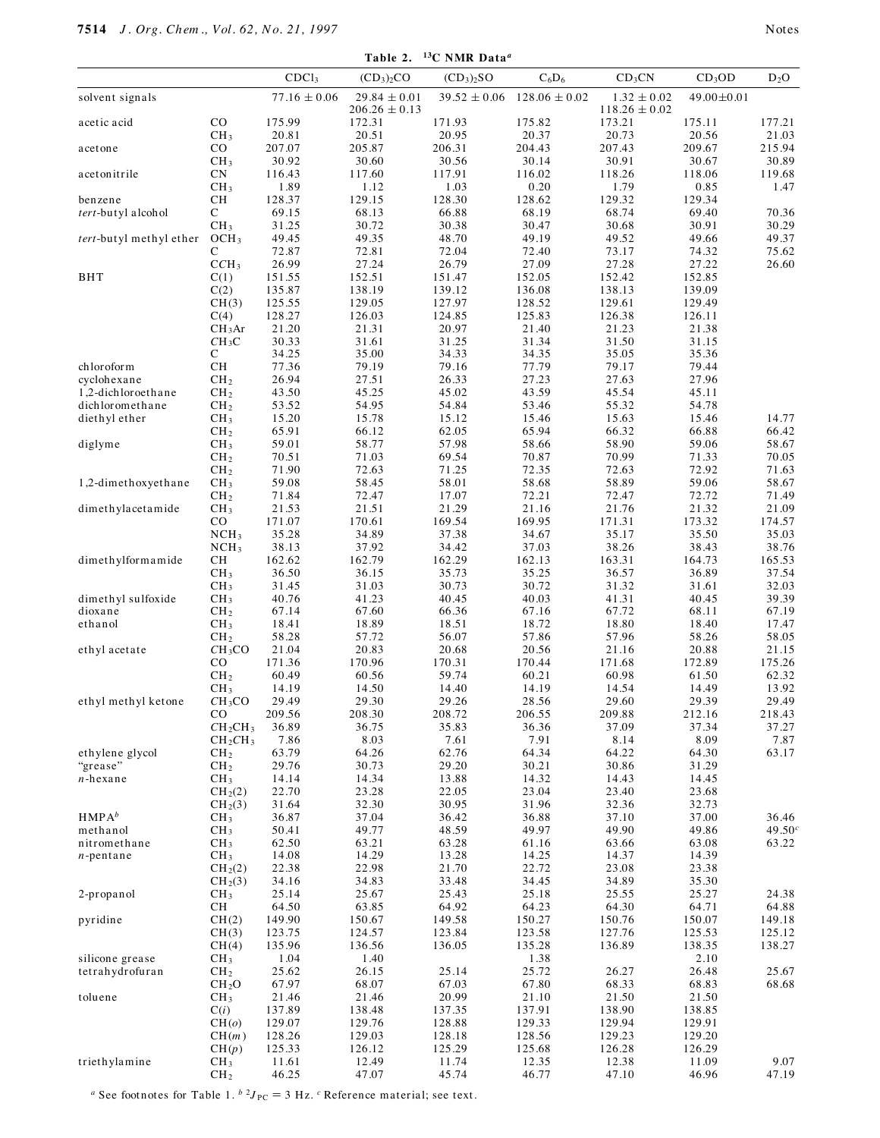|                                   |                                        | CDCl <sub>3</sub> | $(CD_3)_2CO$      | $(CD_3)_2SO$     | $C_6D_6$          | CD <sub>3</sub> CN | CD <sub>3</sub> OD | $D_2O$             |
|-----------------------------------|----------------------------------------|-------------------|-------------------|------------------|-------------------|--------------------|--------------------|--------------------|
| solvent signals                   |                                        | $77.16\pm0.06$    | $29.84 \pm 0.01$  | $39.52 \pm 0.06$ | $128.06 \pm 0.02$ | $1.32\,\pm0.02$    | 49.00 ± 0.01       |                    |
|                                   | $_{\rm CO}$                            | 175.99            | $206.26 \pm 0.13$ |                  | 175.82            | $118.26 \pm 0.02$  |                    |                    |
| acetic acid                       | CH <sub>3</sub>                        | 20.81             | 172.31<br>20.51   | 171.93<br>20.95  | 20.37             | 173.21<br>20.73    | 175.11<br>20.56    | 177.21<br>21.03    |
| acetone                           | $_{\rm CO}$                            | 207.07            | 205.87            | 206.31           | 204.43            | 207.43             | 209.67             | 215.94             |
|                                   | CH <sub>3</sub>                        | 30.92             | 30.60             | 30.56            | 30.14             | 30.91              | 30.67              | 30.89              |
| acetonitrile                      | CN<br>CH <sub>3</sub>                  | 116.43<br>1.89    | 117.60<br>1.12    | 117.91<br>1.03   | 116.02<br>0.20    | 118.26<br>1.79     | 118.06<br>0.85     | 119.68<br>1.47     |
| benzene                           | $\rm CH$                               | 128.37            | 129.15            | 128.30           | 128.62            | 129.32             | 129.34             |                    |
| tert-butyl alcohol                | С                                      | 69.15             | 68.13             | 66.88            | 68.19             | 68.74              | 69.40              | 70.36              |
|                                   | CH <sub>3</sub>                        | 31.25             | 30.72             | 30.38            | 30.47             | 30.68              | 30.91              | 30.29              |
| tert-butyl methyl ether           | OCH <sub>3</sub>                       | 49.45             | 49.35             | 48.70            | 49.19             | 49.52              | 49.66              | 49.37              |
|                                   | С<br>CCH <sub>3</sub>                  | 72.87<br>26.99    | 72.81<br>27.24    | 72.04<br>26.79   | 72.40<br>27.09    | 73.17<br>27.28     | 74.32<br>27.22     | 75.62<br>26.60     |
| <b>BHT</b>                        | C(1)                                   | 151.55            | 152.51            | 151.47           | 152.05            | 152.42             | 152.85             |                    |
|                                   | C(2)                                   | 135.87            | 138.19            | 139.12           | 136.08            | 138.13             | 139.09             |                    |
|                                   | CH(3)                                  | 125.55            | 129.05            | 127.97           | 128.52            | 129.61             | 129.49             |                    |
|                                   | C(4)<br>CH <sub>3</sub> Ar             | 128.27<br>21.20   | 126.03<br>21.31   | 124.85<br>20.97  | 125.83<br>21.40   | 126.38<br>21.23    | 126.11<br>21.38    |                    |
|                                   | CH <sub>3</sub> C                      | 30.33             | 31.61             | 31.25            | 31.34             | 31.50              | 31.15              |                    |
|                                   | С                                      | 34.25             | 35.00             | 34.33            | 34.35             | 35.05              | 35.36              |                    |
| chloroform                        | CH                                     | 77.36             | 79.19             | 79.16            | 77.79             | 79.17              | 79.44              |                    |
| cyclohexane<br>1,2-dichloroethane | CH <sub>2</sub><br>CH <sub>2</sub>     | 26.94<br>43.50    | 27.51<br>45.25    | 26.33<br>45.02   | 27.23<br>43.59    | 27.63<br>45.54     | 27.96<br>45.11     |                    |
| dichloromethane                   | CH <sub>2</sub>                        | 53.52             | 54.95             | 54.84            | 53.46             | 55.32              | 54.78              |                    |
| diethyl ether                     | CH <sub>3</sub>                        | 15.20             | 15.78             | 15.12            | 15.46             | 15.63              | 15.46              | 14.77              |
|                                   | CH <sub>2</sub>                        | 65.91             | 66.12             | 62.05            | 65.94             | 66.32              | 66.88              | 66.42              |
| diglyme                           | CH <sub>3</sub>                        | 59.01<br>70.51    | 58.77<br>71.03    | 57.98<br>69.54   | 58.66<br>70.87    | 58.90<br>70.99     | 59.06<br>71.33     | 58.67<br>70.05     |
|                                   | CH <sub>2</sub><br>CH <sub>2</sub>     | 71.90             | 72.63             | 71.25            | 72.35             | 72.63              | 72.92              | 71.63              |
| 1,2-dimethoxyethane               | CH <sub>3</sub>                        | 59.08             | 58.45             | 58.01            | 58.68             | 58.89              | 59.06              | 58.67              |
|                                   | CH <sub>2</sub>                        | 71.84             | 72.47             | 17.07            | 72.21             | 72.47              | 72.72              | 71.49              |
| dimethylacetamide                 | CH <sub>3</sub>                        | 21.53             | 21.51             | 21.29            | 21.16             | 21.76              | 21.32              | 21.09              |
|                                   | $_{\rm CO}$<br>NCH <sub>3</sub>        | 171.07<br>35.28   | 170.61<br>34.89   | 169.54<br>37.38  | 169.95<br>34.67   | 171.31<br>35.17    | 173.32<br>35.50    | 174.57<br>35.03    |
|                                   | NCH <sub>3</sub>                       | 38.13             | 37.92             | 34.42            | 37.03             | 38.26              | 38.43              | 38.76              |
| dimethylformamide                 | CH                                     | 162.62            | 162.79            | 162.29           | 162.13            | 163.31             | 164.73             | 165.53             |
|                                   | CH <sub>3</sub>                        | 36.50             | 36.15             | 35.73            | 35.25             | 36.57              | 36.89              | 37.54              |
| dimethyl sulfoxide                | CH <sub>3</sub><br>CH <sub>3</sub>     | 31.45<br>40.76    | 31.03<br>41.23    | 30.73<br>40.45   | 30.72<br>40.03    | 31.32<br>41.31     | 31.61<br>40.45     | 32.03<br>39.39     |
| dioxane                           | CH <sub>2</sub>                        | 67.14             | 67.60             | 66.36            | 67.16             | 67.72              | 68.11              | 67.19              |
| ethanol                           | CH <sub>3</sub>                        | 18.41             | 18.89             | 18.51            | 18.72             | 18.80              | 18.40              | 17.47              |
|                                   | CH <sub>2</sub>                        | 58.28             | 57.72             | 56.07            | 57.86             | 57.96              | 58.26              | 58.05              |
| ethyl acetate                     | CH <sub>3</sub> CO<br>$_{\rm CO}$      | 21.04<br>171.36   | 20.83<br>170.96   | 20.68<br>170.31  | 20.56<br>170.44   | 21.16<br>171.68    | 20.88<br>172.89    | 21.15<br>175.26    |
|                                   | CH <sub>2</sub>                        | 60.49             | 60.56             | 59.74            | 60.21             | 60.98              | 61.50              | 62.32              |
|                                   | CH <sub>3</sub>                        | 14.19             | 14.50             | 14.40            | 14.19             | 14.54              | 14.49              | 13.92              |
| ethyl methyl ketone               | CH <sub>3</sub> CO                     | 29.49             | 29.30             | 29.26            | 28.56             | 29.60              | 29.39              | 29.49              |
|                                   | CO<br>CH <sub>2</sub> CH <sub>3</sub>  | 209.56<br>36.89   | 208.30<br>36.75   | 208.72<br>35.83  | 206.55<br>36.36   | 209.88<br>37.09    | 212.16<br>37.34    | 218.43<br>37.27    |
|                                   | $CH_2CH_3$                             | 7.86              | 8.03              | 7.61             | 7.91              | 8.14               | 8.09               | 7.87               |
| ethylene glycol                   | CH <sub>2</sub>                        | 63.79             | 64.26             | 62.76            | 64.34             | 64.22              | 64.30              | 63.17              |
| "grease"                          | CH <sub>2</sub>                        | 29.76             | 30.73             | 29.20            | 30.21             | 30.86              | 31.29              |                    |
| $n$ -hexane                       | CH <sub>3</sub><br>CH <sub>2</sub> (2) | 14.14<br>22.70    | 14.34<br>23.28    | 13.88<br>22.05   | 14.32<br>23.04    | 14.43<br>23.40     | 14.45<br>23.68     |                    |
|                                   | CH <sub>2</sub> (3)                    | 31.64             | 32.30             | 30.95            | 31.96             | 32.36              | 32.73              |                    |
| HMPA <sup>b</sup>                 | CH <sub>3</sub>                        | 36.87             | 37.04             | 36.42            | 36.88             | 37.10              | 37.00              | 36.46              |
| methanol                          | CH <sub>3</sub>                        | 50.41             | 49.77             | 48.59            | 49.97             | 49.90              | 49.86              | 49.50 <sup>c</sup> |
| nitromethane                      | CH <sub>3</sub>                        | 62.50             | 63.21             | 63.28            | 61.16             | 63.66              | 63.08              | 63.22              |
| $n$ -pentane                      | CH <sub>3</sub><br>CH <sub>2</sub> (2) | 14.08<br>22.38    | 14.29<br>22.98    | 13.28<br>21.70   | 14.25<br>22.72    | 14.37<br>23.08     | 14.39<br>23.38     |                    |
|                                   | CH <sub>2</sub> (3)                    | 34.16             | 34.83             | 33.48            | 34.45             | 34.89              | 35.30              |                    |
| 2-propanol                        | CH <sub>3</sub>                        | 25.14             | 25.67             | 25.43            | 25.18             | 25.55              | 25.27              | 24.38              |
|                                   | CН                                     | 64.50             | 63.85             | 64.92            | 64.23             | 64.30              | 64.71              | 64.88              |
| pyridine                          | CH(2)<br>CH(3)                         | 149.90<br>123.75  | 150.67<br>124.57  | 149.58<br>123.84 | 150.27<br>123.58  | 150.76<br>127.76   | 150.07<br>125.53   | 149.18<br>125.12   |
|                                   | CH(4)                                  | 135.96            | 136.56            | 136.05           | 135.28            | 136.89             | 138.35             | 138.27             |
| silicone grease                   | CH <sub>3</sub>                        | 1.04              | 1.40              |                  | 1.38              |                    | 2.10               |                    |
| tetrahydrofuran                   | CH <sub>2</sub>                        | 25.62             | 26.15             | 25.14            | 25.72             | 26.27              | 26.48              | 25.67              |
| toluene                           | CH <sub>2</sub> O<br>CH <sub>3</sub>   | 67.97<br>21.46    | 68.07<br>21.46    | 67.03<br>20.99   | 67.80<br>21.10    | 68.33<br>21.50     | 68.83<br>21.50     | 68.68              |
|                                   | C(i)                                   | 137.89            | 138.48            | 137.35           | 137.91            | 138.90             | 138.85             |                    |
|                                   | CH(o)                                  | 129.07            | 129.76            | 128.88           | 129.33            | 129.94             | 129.91             |                    |
|                                   | CH(m)                                  | 128.26            | 129.03            | 128.18           | 128.56            | 129.23             | 129.20             |                    |
| triethylamine                     | CH(p)<br>CH <sub>3</sub>               | 125.33<br>11.61   | 126.12<br>12.49   | 125.29<br>11.74  | 125.68<br>12.35   | 126.28<br>12.38    | 126.29<br>11.09    | 9.07               |
|                                   | CH <sub>2</sub>                        | 46.25             | 47.07             | 45.74            | 46.77             | 47.10              | 46.96              | 47.19              |

<sup>*a*</sup> See footnotes for Table 1.  $^{b}$  <sup>2</sup> $J_{PC}$  = 3 Hz. <sup>*c*</sup> Reference material; see text.